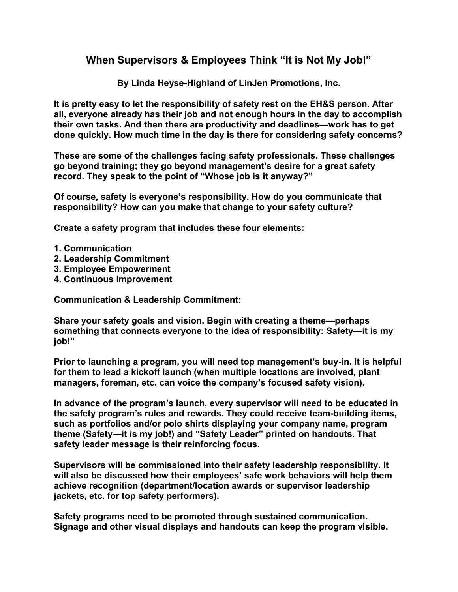## **When Supervisors & Employees Think "It is Not My Job!"**

**By Linda Heyse-Highland of LinJen Promotions, Inc.**

**It is pretty easy to let the responsibility of safety rest on the EH&S person. After all, everyone already has their job and not enough hours in the day to accomplish their own tasks. And then there are productivity and deadlines—work has to get done quickly. How much time in the day is there for considering safety concerns?**

**These are some of the challenges facing safety professionals. These challenges go beyond training; they go beyond management's desire for a great safety record. They speak to the point of "Whose job is it anyway?"**

**Of course, safety is everyone's responsibility. How do you communicate that responsibility? How can you make that change to your safety culture?**

**Create a safety program that includes these four elements:**

- **1. Communication**
- **2. Leadership Commitment**
- **3. Employee Empowerment**
- **4. Continuous Improvement**

**Communication & Leadership Commitment:** 

**Share your safety goals and vision. Begin with creating a theme—perhaps something that connects everyone to the idea of responsibility: Safety—it is my job!"**

**Prior to launching a program, you will need top management's buy-in. It is helpful for them to lead a kickoff launch (when multiple locations are involved, plant managers, foreman, etc. can voice the company's focused safety vision).**

**In advance of the program's launch, every supervisor will need to be educated in the safety program's rules and rewards. They could receive team-building items, such as portfolios and/or polo shirts displaying your company name, program theme (Safety—it is my job!) and "Safety Leader" printed on handouts. That safety leader message is their reinforcing focus.**

**Supervisors will be commissioned into their safety leadership responsibility. It will also be discussed how their employees' safe work behaviors will help them achieve recognition (department/location awards or supervisor leadership jackets, etc. for top safety performers).** 

**Safety programs need to be promoted through sustained communication. Signage and other visual displays and handouts can keep the program visible.**